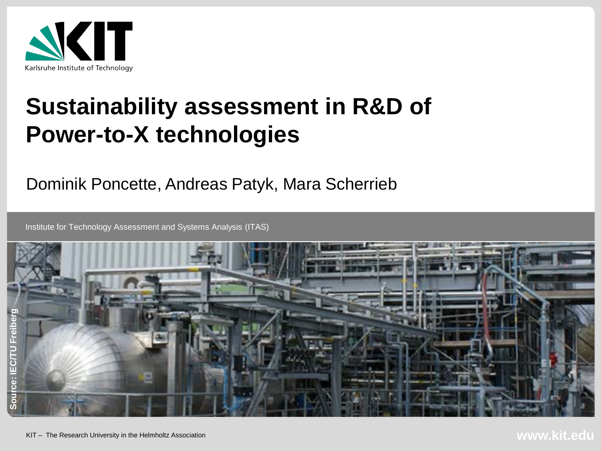

# **Sustainability assessment in R&D of Power-to-X technologies**

Dominik Poncette, Andreas Patyk, Mara Scherrieb

Institute for Technology Assessment and Systems Analysis (ITAS)

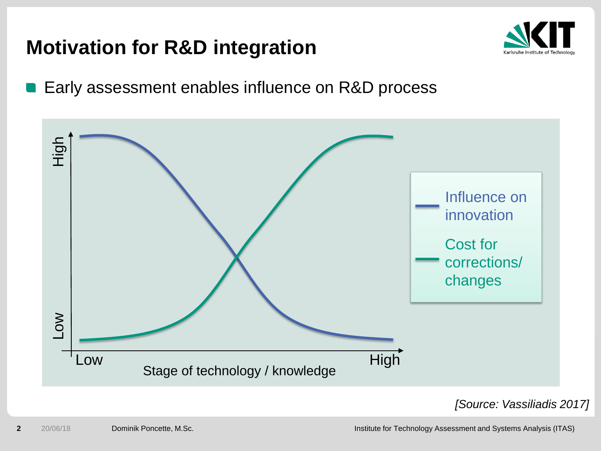## **Motivation for R&D integration**



Early assessment enables influence on R&D process



*[Source: Vassiliadis 2017]*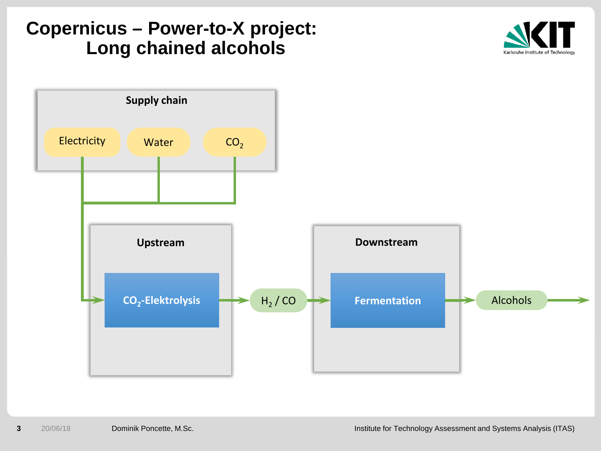#### **Copernicus – Power-to-X project: Long chained alcohols**



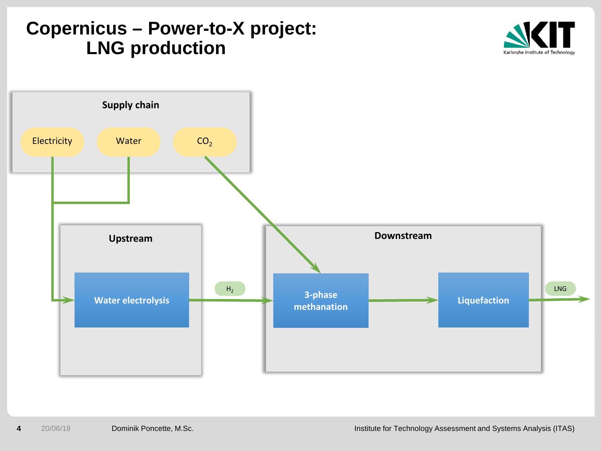#### **Copernicus – Power-to-X project: LNG production**



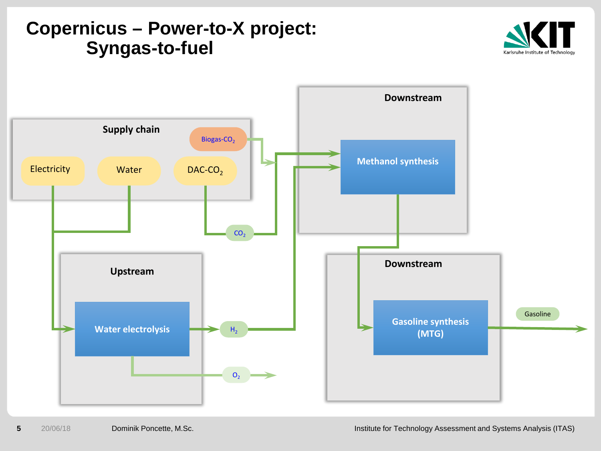#### **Copernicus – Power-to-X project: Syngas-to-fuel**



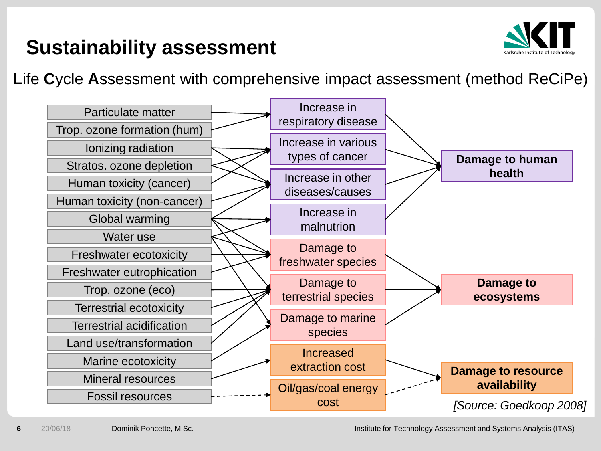## **Sustainability assessment**



**L**ife **C**ycle **A**ssessment with comprehensive impact assessment (method ReCiPe)

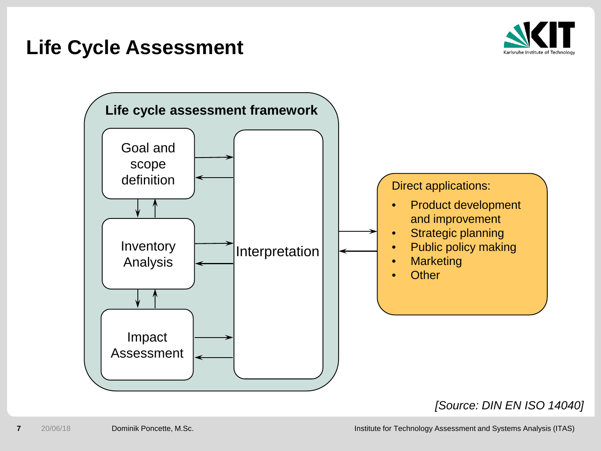#### **Life Cycle Assessment**





#### *[Source: DIN EN ISO 14040]*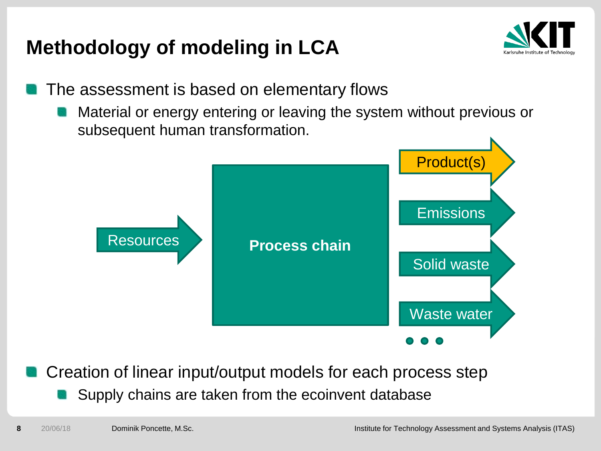## **Methodology of modeling in LCA**



- The assessment is based on elementary flows
	- Material or energy entering or leaving the system without previous or subsequent human transformation.



- Creation of linear input/output models for each process step
	- Supply chains are taken from the ecoinvent database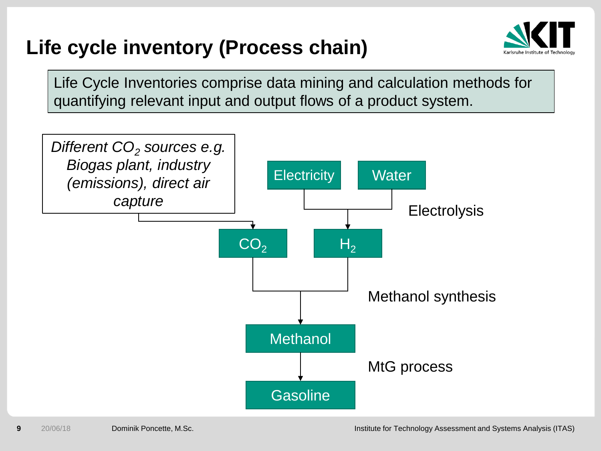## **Life cycle inventory (Process chain)**



Life Cycle Inventories comprise data mining and calculation methods for quantifying relevant input and output flows of a product system.

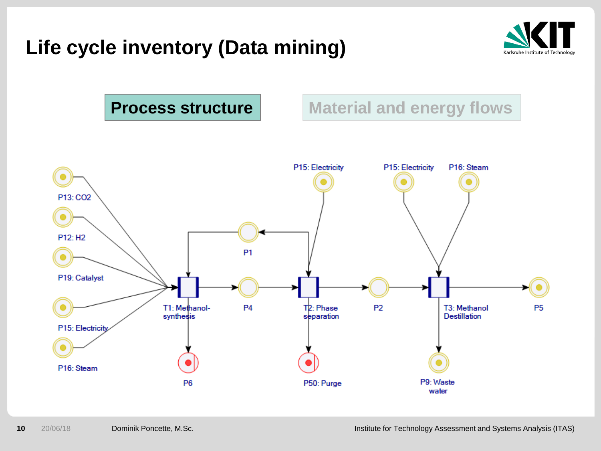## **Life cycle inventory (Data mining)**



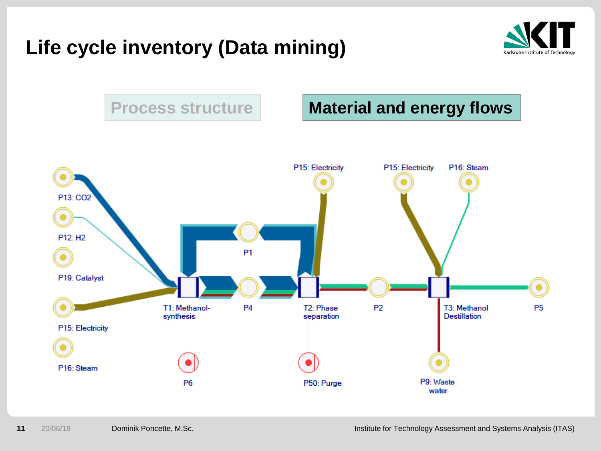## **Life cycle inventory (Data mining)**



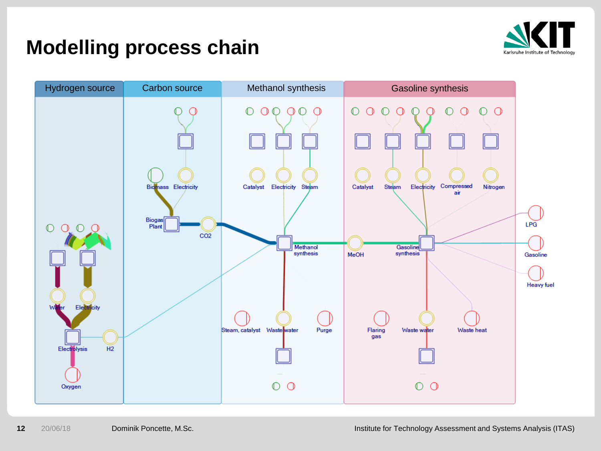

#### **Modelling process chain**

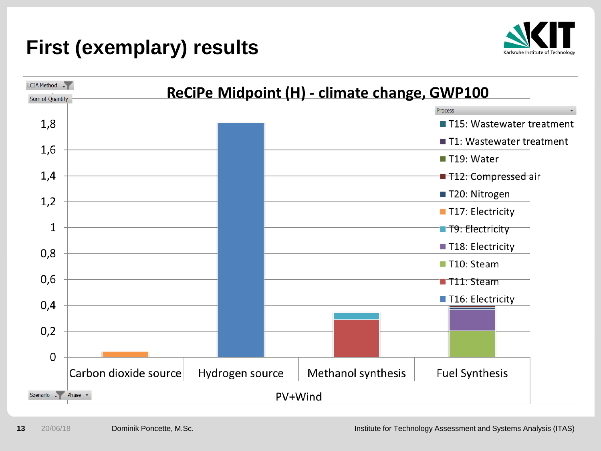## **First (exemplary) results**



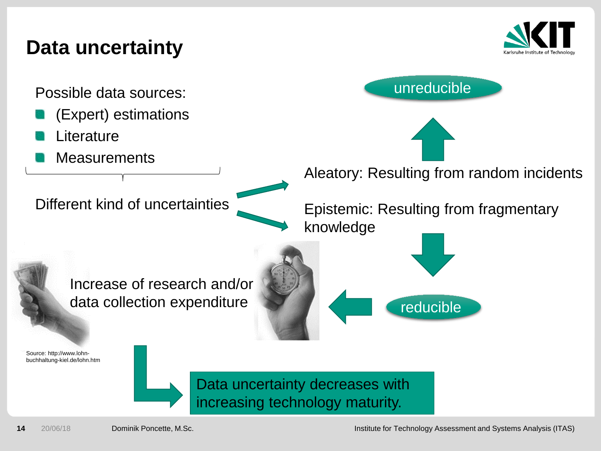#### **Data uncertainty**



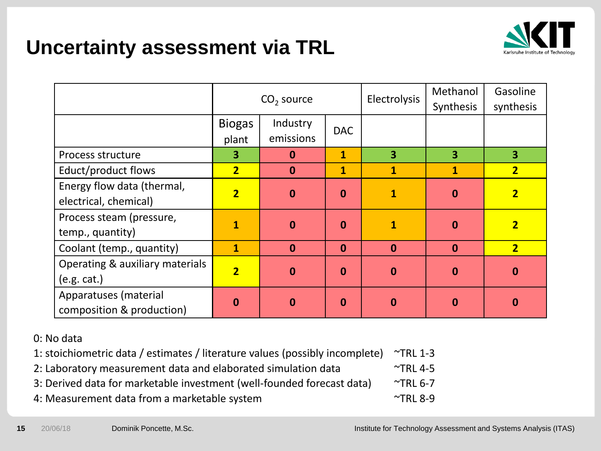## **Uncertainty assessment via TRL**



|                                                     | $CO2$ source           |                       |              | Electrolysis | Methanol<br>Synthesis   | Gasoline<br>synthesis |
|-----------------------------------------------------|------------------------|-----------------------|--------------|--------------|-------------------------|-----------------------|
|                                                     | <b>Biogas</b><br>plant | Industry<br>emissions | <b>DAC</b>   |              |                         |                       |
| Process structure                                   | 3                      | 0                     | $\mathbf{1}$ | 3            | $\overline{\mathbf{3}}$ | 3                     |
| Educt/product flows                                 | $\overline{2}$         | $\bf{0}$              | $\mathbf{1}$ | 1            | $\mathbf{1}$            | $\overline{2}$        |
| Energy flow data (thermal,<br>electrical, chemical) | $\overline{2}$         | $\bf{0}$              | $\bf{0}$     | $\mathbf{1}$ | $\bf{0}$                | $\overline{2}$        |
| Process steam (pressure,<br>temp., quantity)        | 1                      | 0                     | $\bf{0}$     | $\mathbf{1}$ | $\mathbf 0$             | $\overline{2}$        |
| Coolant (temp., quantity)                           | $\mathbf{1}$           | $\bf{0}$              | $\mathbf{0}$ | $\mathbf{0}$ | $\mathbf{0}$            | $\overline{2}$        |
| Operating & auxiliary materials<br>(e.g. cat.)      | $\overline{2}$         | $\bf{0}$              | $\mathbf{0}$ | $\mathbf 0$  | $\mathbf{0}$            | $\mathbf 0$           |
| Apparatuses (material<br>composition & production)  | $\bf{0}$               | $\bf{0}$              | $\mathbf{0}$ | $\mathbf 0$  | $\mathbf 0$             | $\bf{0}$              |

#### 0: No data

| 1: stoichiometric data / estimates / literature values (possibly incomplete) ~TRL 1-3 |                         |
|---------------------------------------------------------------------------------------|-------------------------|
| 2: Laboratory measurement data and elaborated simulation data                         | $\mathsf{\sim}$ TRL 4-5 |

- 3: Derived data for marketable investment (well-founded forecast data) TRL 6-7
- 4: Measurement data from a marketable system  $\sim$ TRL 8-9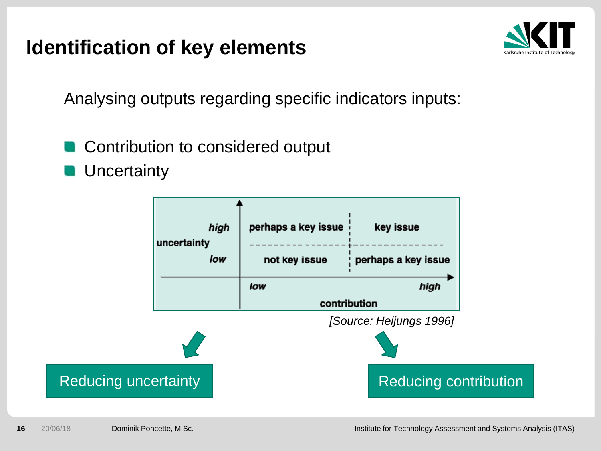#### **Identification of key elements**



Analysing outputs regarding specific indicators inputs:

- Contribution to considered output
- **Uncertainty**

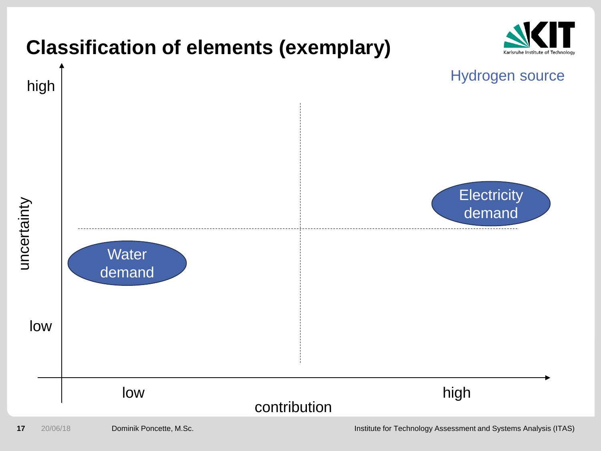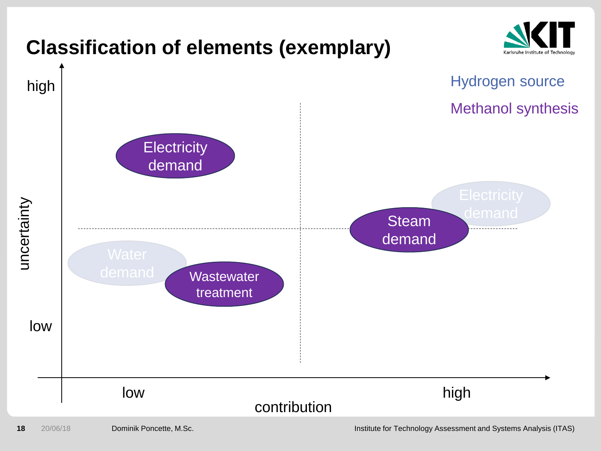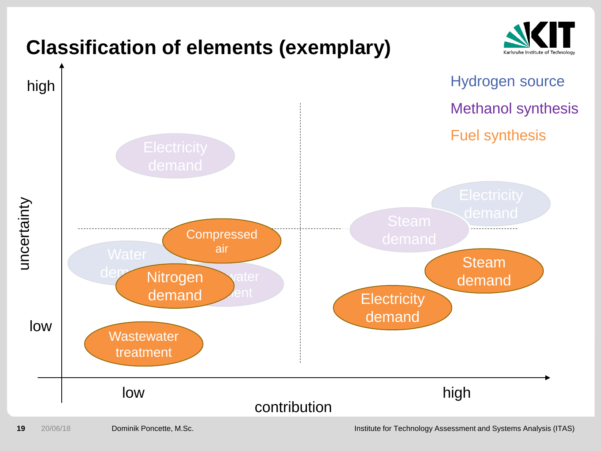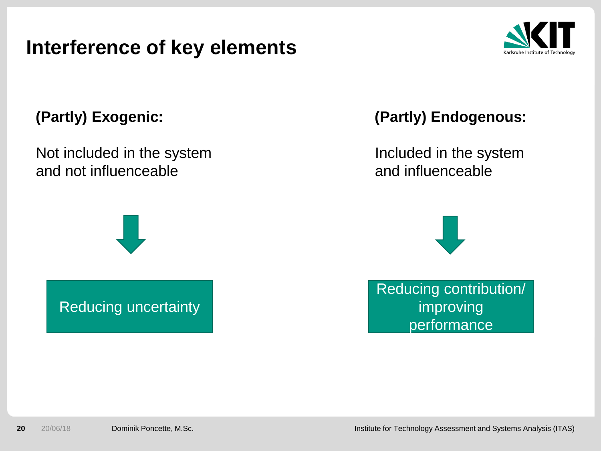#### **Interference of key elements**



#### **(Partly) Exogenic:**

Not included in the system and not influenceable



Reducing uncertainty

**(Partly) Endogenous:**

Included in the system and influenceable



Reducing contribution/ improving performance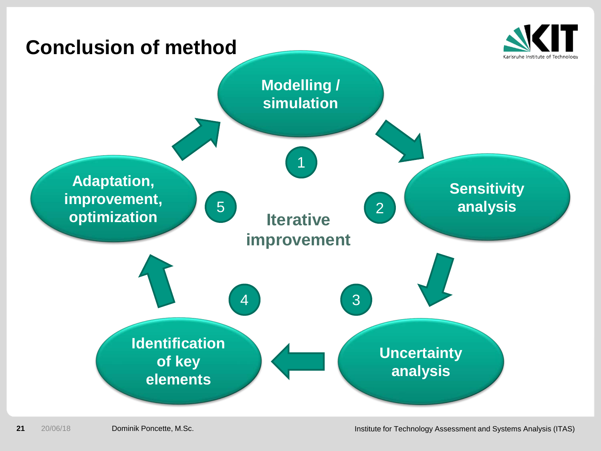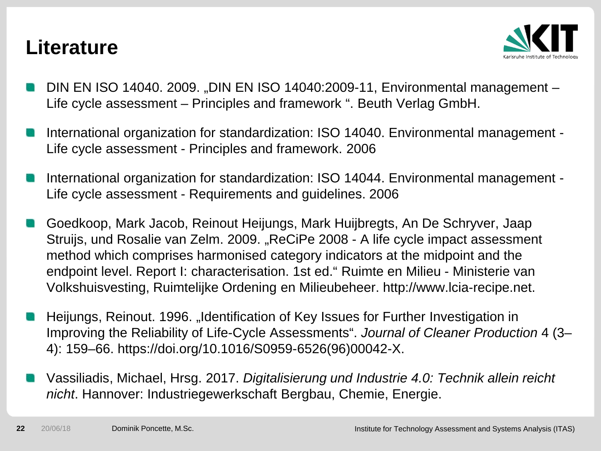#### **Literature**



- DIN EN ISO 14040. 2009. "DIN EN ISO 14040:2009-11, Environmental management -Life cycle assessment – Principles and framework ". Beuth Verlag GmbH.
- International organization for standardization: ISO 14040. Environmental management Life cycle assessment - Principles and framework. 2006
- International organization for standardization: ISO 14044. Environmental management Life cycle assessment - Requirements and guidelines. 2006
- Goedkoop, Mark Jacob, Reinout Heijungs, Mark Huijbregts, An De Schryver, Jaap Struijs, und Rosalie van Zelm. 2009. "ReCiPe 2008 - A life cycle impact assessment method which comprises harmonised category indicators at the midpoint and the endpoint level. Report I: characterisation. 1st ed." Ruimte en Milieu - Ministerie van Volkshuisvesting, Ruimtelijke Ordening en Milieubeheer. http://www.lcia-recipe.net.
- Heijungs, Reinout. 1996. "Identification of Key Issues for Further Investigation in Improving the Reliability of Life-Cycle Assessments". *Journal of Cleaner Production* 4 (3– 4): 159–66. https://doi.org/10.1016/S0959-6526(96)00042-X.
- Vassiliadis, Michael, Hrsg. 2017. *Digitalisierung und Industrie 4.0: Technik allein reicht nicht*. Hannover: Industriegewerkschaft Bergbau, Chemie, Energie.